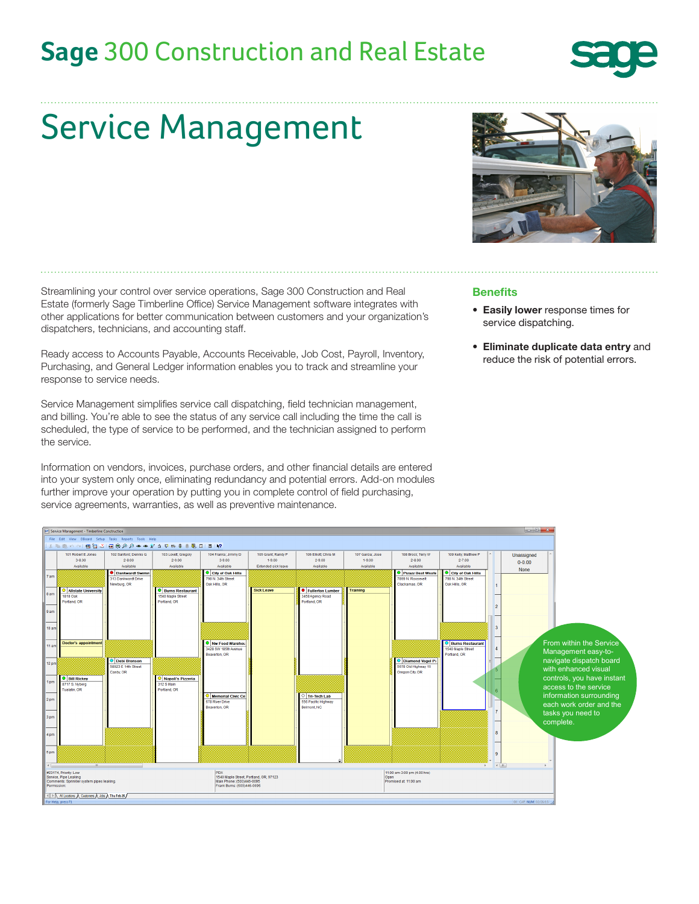## **Sage** 300 Construction and Real Estate



# Service Management

Streamlining your control over service operations, Sage 300 Construction and Real Estate (formerly Sage Timberline Office) Service Management software integrates with other applications for better communication between customers and your organization's dispatchers, technicians, and accounting staff.

Ready access to Accounts Payable, Accounts Receivable, Job Cost, Payroll, Inventory, Purchasing, and General Ledger information enables you to track and streamline your response to service needs.

Service Management simplifies service call dispatching, field technician management, and billing. You're able to see the status of any service call including the time the call is scheduled, the type of service to be performed, and the technician assigned to perform the service.

Information on vendors, invoices, purchase orders, and other financial details are entered into your system only once, eliminating redundancy and potential errors. Add-on modules further improve your operation by putting you in complete control of field purchasing, service agreements, warranties, as well as preventive maintenance.



### **Benefits**

- Easily lower response times for service dispatching.
- Eliminate duplicate data entry and reduce the risk of potential errors.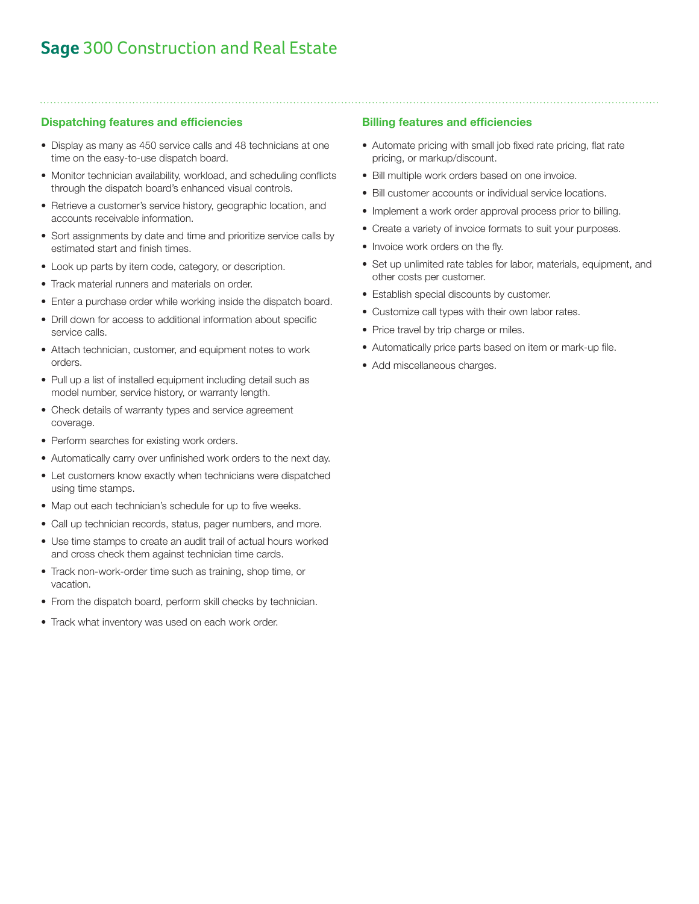## **Sage** 300 Construction and Real Estate

### Dispatching features and efficiencies

- Display as many as 450 service calls and 48 technicians at one time on the easy-to-use dispatch board.
- Monitor technician availability, workload, and scheduling conflicts through the dispatch board's enhanced visual controls.
- Retrieve a customer's service history, geographic location, and accounts receivable information.
- Sort assignments by date and time and prioritize service calls by estimated start and finish times.
- Look up parts by item code, category, or description.
- Track material runners and materials on order.
- Enter a purchase order while working inside the dispatch board.
- Drill down for access to additional information about specific service calls.
- Attach technician, customer, and equipment notes to work orders.
- Pull up a list of installed equipment including detail such as model number, service history, or warranty length.
- Check details of warranty types and service agreement coverage.
- Perform searches for existing work orders.
- Automatically carry over unfinished work orders to the next day.
- Let customers know exactly when technicians were dispatched using time stamps.
- Map out each technician's schedule for up to five weeks.
- Call up technician records, status, pager numbers, and more.
- Use time stamps to create an audit trail of actual hours worked and cross check them against technician time cards.
- Track non-work-order time such as training, shop time, or vacation.
- From the dispatch board, perform skill checks by technician.
- Track what inventory was used on each work order.

### Billing features and efficiencies

- Automate pricing with small job fixed rate pricing, flat rate pricing, or markup/discount.
- Bill multiple work orders based on one invoice.
- Bill customer accounts or individual service locations.
- Implement a work order approval process prior to billing.
- Create a variety of invoice formats to suit your purposes.
- Invoice work orders on the fly.
- Set up unlimited rate tables for labor, materials, equipment, and other costs per customer.
- Establish special discounts by customer.
- Customize call types with their own labor rates.
- Price travel by trip charge or miles.
- Automatically price parts based on item or mark-up file.
- Add miscellaneous charges.